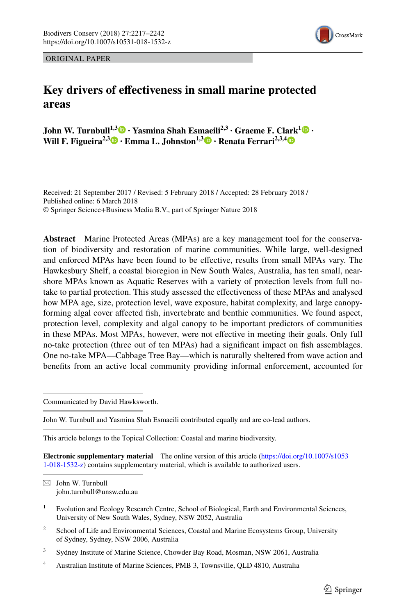

ORIGINAL PAPER

# **Key drivers of efectiveness in small marine protected areas**

**John W. Turnbull1,3 · Yasmina Shah Es[maei](http://orcid.org/0000-0002-2117-366X)li2,3 · Graeme F. Cl[ark](http://orcid.org/0000-0002-5056-1178)1 · Will F. Figueira2,3 · Emma L. Johnston1,3 · Renata Ferrari2,3,4**

Received: 21 September 2017 / Revised: 5 February 2018 / Accepted: 28 February 2018 / Published online: 6 March 2018 © Springer Science+Business Media B.V., part of Springer Nature 2018

**Abstract** Marine Protected Areas (MPAs) are a key management tool for the conservation of biodiversity and restoration of marine communities. While large, well-designed and enforced MPAs have been found to be efective, results from small MPAs vary. The Hawkesbury Shelf, a coastal bioregion in New South Wales, Australia, has ten small, nearshore MPAs known as Aquatic Reserves with a variety of protection levels from full notake to partial protection. This study assessed the efectiveness of these MPAs and analysed how MPA age, size, protection level, wave exposure, habitat complexity, and large canopyforming algal cover afected fsh, invertebrate and benthic communities. We found aspect, protection level, complexity and algal canopy to be important predictors of communities in these MPAs. Most MPAs, however, were not efective in meeting their goals. Only full no-take protection (three out of ten MPAs) had a signifcant impact on fsh assemblages. One no-take MPA—Cabbage Tree Bay—which is naturally sheltered from wave action and benefts from an active local community providing informal enforcement, accounted for

Communicated by David Hawksworth.

John W. Turnbull and Yasmina Shah Esmaeili contributed equally and are co-lead authors.

This article belongs to the Topical Collection: Coastal and marine biodiversity.

**Electronic supplementary material** The online version of this article ([https://doi.org/10.1007/s1053](https://doi.org/10.1007/s10531-018-1532-z) [1-018-1532-z](https://doi.org/10.1007/s10531-018-1532-z)) contains supplementary material, which is available to authorized users.

 $\boxtimes$  John W. Turnbull john.turnbull@unsw.edu.au

<sup>1</sup> Evolution and Ecology Research Centre, School of Biological, Earth and Environmental Sciences, University of New South Wales, Sydney, NSW 2052, Australia

- <sup>2</sup> School of Life and Environmental Sciences, Coastal and Marine Ecosystems Group, University of Sydney, Sydney, NSW 2006, Australia
- <sup>3</sup> Sydney Institute of Marine Science, Chowder Bay Road, Mosman, NSW 2061, Australia
- <sup>4</sup> Australian Institute of Marine Sciences, PMB 3, Townsville, QLD 4810, Australia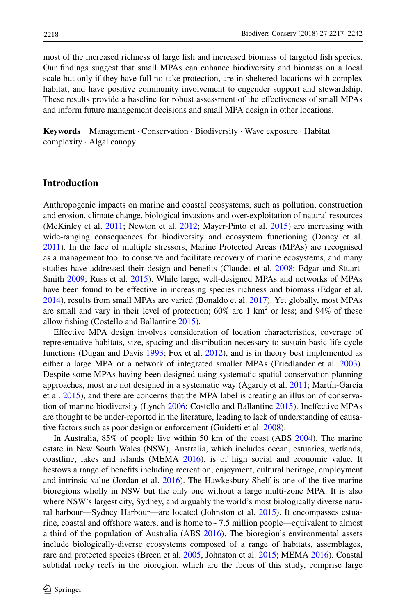most of the increased richness of large fsh and increased biomass of targeted fsh species. Our fndings suggest that small MPAs can enhance biodiversity and biomass on a local scale but only if they have full no-take protection, are in sheltered locations with complex habitat, and have positive community involvement to engender support and stewardship. These results provide a baseline for robust assessment of the efectiveness of small MPAs and inform future management decisions and small MPA design in other locations.

**Keywords** Management · Conservation · Biodiversity · Wave exposure · Habitat complexity · Algal canopy

# **Introduction**

Anthropogenic impacts on marine and coastal ecosystems, such as pollution, construction and erosion, climate change, biological invasions and over-exploitation of natural resources (McKinley et al. [2011](#page-23-0); Newton et al. [2012;](#page-24-0) Mayer-Pinto et al. [2015\)](#page-23-1) are increasing with wide-ranging consequences for biodiversity and ecosystem functioning (Doney et al. [2011\)](#page-21-0). In the face of multiple stressors, Marine Protected Areas (MPAs) are recognised as a management tool to conserve and facilitate recovery of marine ecosystems, and many studies have addressed their design and benefts (Claudet et al. [2008;](#page-21-1) Edgar and Stuart-Smith [2009;](#page-21-2) Russ et al. [2015\)](#page-24-1). While large, well-designed MPAs and networks of MPAs have been found to be efective in increasing species richness and biomass (Edgar et al. [2014\)](#page-22-0), results from small MPAs are varied (Bonaldo et al. [2017](#page-21-3)). Yet globally, most MPAs are small and vary in their level of protection;  $60\%$  are 1 km<sup>2</sup> or less; and 94% of these allow fshing (Costello and Ballantine [2015\)](#page-21-4).

Efective MPA design involves consideration of location characteristics, coverage of representative habitats, size, spacing and distribution necessary to sustain basic life-cycle functions (Dugan and Davis [1993](#page-21-5); Fox et al. [2012](#page-22-1)), and is in theory best implemented as either a large MPA or a network of integrated smaller MPAs (Friedlander et al. [2003](#page-22-2)). Despite some MPAs having been designed using systematic spatial conservation planning approaches, most are not designed in a systematic way (Agardy et al. [2011;](#page-20-0) Martín-García et al. [2015](#page-23-2)), and there are concerns that the MPA label is creating an illusion of conservation of marine biodiversity (Lynch [2006;](#page-23-3) Costello and Ballantine [2015\)](#page-21-4). Inefective MPAs are thought to be under-reported in the literature, leading to lack of understanding of causative factors such as poor design or enforcement (Guidetti et al. [2008](#page-22-3)).

In Australia, 85% of people live within 50 km of the coast (ABS [2004\)](#page-20-1). The marine estate in New South Wales (NSW), Australia, which includes ocean, estuaries, wetlands, coastline, lakes and islands (MEMA [2016](#page-23-4)), is of high social and economic value. It bestows a range of benefts including recreation, enjoyment, cultural heritage, employment and intrinsic value (Jordan et al. [2016](#page-23-5)). The Hawkesbury Shelf is one of the fve marine bioregions wholly in NSW but the only one without a large multi-zone MPA. It is also where NSW's largest city, Sydney, and arguably the world's most biologically diverse natural harbour—Sydney Harbour—are located (Johnston et al. [2015](#page-23-6)). It encompasses estuarine, coastal and offshore waters, and is home to  $\sim$  7.5 million people—equivalent to almost a third of the population of Australia (ABS [2016\)](#page-20-2). The bioregion's environmental assets include biologically-diverse ecosystems composed of a range of habitats, assemblages, rare and protected species (Breen et al. [2005,](#page-21-6) Johnston et al. [2015](#page-23-6); MEMA [2016\)](#page-23-4). Coastal subtidal rocky reefs in the bioregion, which are the focus of this study, comprise large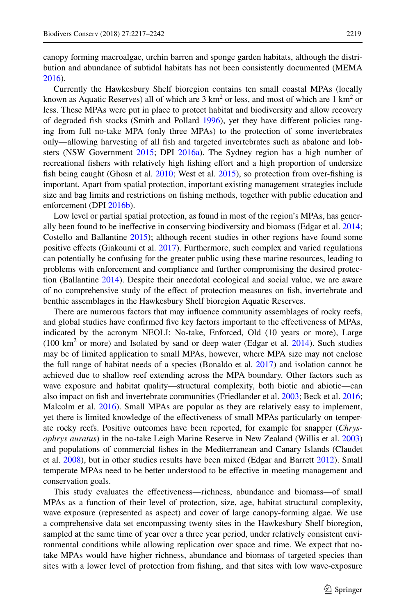canopy forming macroalgae, urchin barren and sponge garden habitats, although the distribution and abundance of subtidal habitats has not been consistently documented (MEMA [2016\)](#page-23-4).

Currently the Hawkesbury Shelf bioregion contains ten small coastal MPAs (locally known as Aquatic Reserves) all of which are  $3 \text{ km}^2$  or less, and most of which are  $1 \text{ km}^2$  or less. These MPAs were put in place to protect habitat and biodiversity and allow recovery of degraded fsh stocks (Smith and Pollard [1996](#page-24-2)), yet they have diferent policies ranging from full no-take MPA (only three MPAs) to the protection of some invertebrates only—allowing harvesting of all fsh and targeted invertebrates such as abalone and lobsters (NSW Government [2015;](#page-22-4) DPI [2016a](#page-21-7)). The Sydney region has a high number of recreational fshers with relatively high fshing efort and a high proportion of undersize fish being caught (Ghosn et al. [2010](#page-22-5); West et al. [2015\)](#page-24-3), so protection from over-fishing is important. Apart from spatial protection, important existing management strategies include size and bag limits and restrictions on fshing methods, together with public education and enforcement (DPI [2016b\)](#page-21-8).

Low level or partial spatial protection, as found in most of the region's MPAs, has generally been found to be inefective in conserving biodiversity and biomass (Edgar et al. [2014;](#page-22-0) Costello and Ballantine [2015](#page-21-4)); although recent studies in other regions have found some positive efects (Giakoumi et al. [2017\)](#page-22-6). Furthermore, such complex and varied regulations can potentially be confusing for the greater public using these marine resources, leading to problems with enforcement and compliance and further compromising the desired protection (Ballantine [2014](#page-20-3)). Despite their anecdotal ecological and social value, we are aware of no comprehensive study of the efect of protection measures on fsh, invertebrate and benthic assemblages in the Hawkesbury Shelf bioregion Aquatic Reserves.

There are numerous factors that may infuence community assemblages of rocky reefs, and global studies have confrmed fve key factors important to the efectiveness of MPAs, indicated by the acronym NEOLI: No-take, Enforced, Old (10 years or more), Large  $(100 \text{ km}^2 \text{ or more})$  and Isolated by sand or deep water (Edgar et al. [2014](#page-22-0)). Such studies may be of limited application to small MPAs, however, where MPA size may not enclose the full range of habitat needs of a species (Bonaldo et al. [2017](#page-21-3)) and isolation cannot be achieved due to shallow reef extending across the MPA boundary. Other factors such as wave exposure and habitat quality—structural complexity, both biotic and abiotic—can also impact on fsh and invertebrate communities (Friedlander et al. [2003;](#page-22-2) Beck et al. [2016;](#page-21-9) Malcolm et al. [2016\)](#page-23-7). Small MPAs are popular as they are relatively easy to implement, yet there is limited knowledge of the efectiveness of small MPAs particularly on temperate rocky reefs. Positive outcomes have been reported, for example for snapper (*Chrysophrys auratus*) in the no-take Leigh Marine Reserve in New Zealand (Willis et al. [2003](#page-25-0)) and populations of commercial fshes in the Mediterranean and Canary Islands (Claudet et al. [2008\)](#page-21-1), but in other studies results have been mixed (Edgar and Barrett [2012](#page-21-10)). Small temperate MPAs need to be better understood to be efective in meeting management and conservation goals.

This study evaluates the efectiveness—richness, abundance and biomass—of small MPAs as a function of their level of protection, size, age, habitat structural complexity, wave exposure (represented as aspect) and cover of large canopy-forming algae. We use a comprehensive data set encompassing twenty sites in the Hawkesbury Shelf bioregion, sampled at the same time of year over a three year period, under relatively consistent environmental conditions while allowing replication over space and time. We expect that notake MPAs would have higher richness, abundance and biomass of targeted species than sites with a lower level of protection from fshing, and that sites with low wave-exposure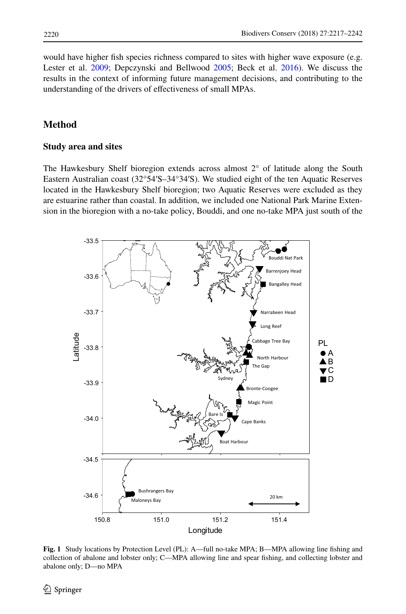would have higher fish species richness compared to sites with higher wave exposure (e.g. Lester et al. [2009](#page-23-8); Depczynski and Bellwood [2005](#page-21-11); Beck et al. [2016](#page-21-9)). We discuss the results in the context of informing future management decisions, and contributing to the understanding of the drivers of efectiveness of small MPAs.

# **Method**

# **Study area and sites**

The Hawkesbury Shelf bioregion extends across almost 2° of latitude along the South Eastern Australian coast (32°54′S–34°34′S). We studied eight of the ten Aquatic Reserves located in the Hawkesbury Shelf bioregion; two Aquatic Reserves were excluded as they are estuarine rather than coastal. In addition, we included one National Park Marine Extension in the bioregion with a no-take policy, Bouddi, and one no-take MPA just south of the



<span id="page-3-0"></span>**Fig. 1** Study locations by Protection Level (PL): A—full no-take MPA; B—MPA allowing line fshing and collection of abalone and lobster only; C—MPA allowing line and spear fshing, and collecting lobster and abalone only; D—no MPA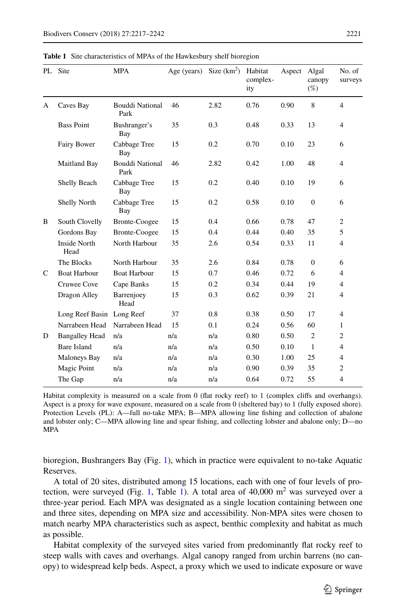| PL            | Site                        | <b>MPA</b>                     | Age (years) | Size $(km^2)$ | Habitat<br>complex-<br>ity | Aspect | Algal<br>canopy<br>$(\%)$ | No. of<br>surveys       |
|---------------|-----------------------------|--------------------------------|-------------|---------------|----------------------------|--------|---------------------------|-------------------------|
| A             | Caves Bay                   | <b>Bouddi National</b><br>Park | 46          | 2.82          | 0.76                       | 0.90   | 8                         | $\overline{4}$          |
|               | <b>Bass Point</b>           | Bushranger's<br>Bay            | 35          | 0.3           | 0.48                       | 0.33   | 13                        | $\overline{4}$          |
|               | Fairy Bower                 | Cabbage Tree<br>Bay            | 15          | 0.2           | 0.70                       | 0.10   | 23                        | 6                       |
|               | Maitland Bay                | <b>Bouddi National</b><br>Park | 46          | 2.82          | 0.42                       | 1.00   | 48                        | $\overline{4}$          |
|               | Shelly Beach                | Cabbage Tree<br>Bay            | 15          | 0.2           | 0.40                       | 0.10   | 19                        | 6                       |
|               | Shelly North                | Cabbage Tree<br>Bay            | 15          | 0.2           | 0.58                       | 0.10   | $\mathbf{0}$              | 6                       |
| B             | South Clovelly              | <b>Bronte-Coogee</b>           | 15          | 0.4           | 0.66                       | 0.78   | 47                        | $\overline{c}$          |
|               | Gordons Bay                 | <b>Bronte-Coogee</b>           | 15          | 0.4           | 0.44                       | 0.40   | 35                        | 5                       |
|               | <b>Inside North</b><br>Head | North Harbour                  | 35          | 2.6           | 0.54                       | 0.33   | 11                        | $\overline{4}$          |
|               | The Blocks                  | North Harbour                  | 35          | 2.6           | 0.84                       | 0.78   | $\mathbf{0}$              | 6                       |
| $\mathcal{C}$ | <b>Boat Harbour</b>         | <b>Boat Harbour</b>            | 15          | 0.7           | 0.46                       | 0.72   | 6                         | $\overline{4}$          |
|               | Cruwee Cove                 | Cape Banks                     | 15          | 0.2           | 0.34                       | 0.44   | 19                        | $\overline{4}$          |
|               | Dragon Alley                | Barrenjoey<br>Head             | 15          | 0.3           | 0.62                       | 0.39   | 21                        | $\overline{4}$          |
|               | Long Reef Basin Long Reef   |                                | 37          | 0.8           | 0.38                       | 0.50   | 17                        | $\overline{4}$          |
|               | Narrabeen Head              | Narrabeen Head                 | 15          | 0.1           | 0.24                       | 0.56   | 60                        | 1                       |
| D             | <b>Bangalley Head</b>       | n/a                            | n/a         | n/a           | 0.80                       | 0.50   | $\overline{c}$            | 2                       |
|               | <b>Bare Island</b>          | n/a                            | n/a         | n/a           | 0.50                       | 0.10   | $\mathbf{1}$              | $\overline{4}$          |
|               | <b>Maloneys Bay</b>         | n/a                            | n/a         | n/a           | 0.30                       | 1.00   | 25                        | $\overline{4}$          |
|               | Magic Point                 | n/a                            | n/a         | n/a           | 0.90                       | 0.39   | 35                        | $\overline{c}$          |
|               | The Gap                     | n/a                            | n/a         | n/a           | 0.64                       | 0.72   | 55                        | $\overline{\mathbf{4}}$ |

<span id="page-4-0"></span>**Table 1** Site characteristics of MPAs of the Hawkesbury shelf bioregion

Habitat complexity is measured on a scale from 0 (fat rocky reef) to 1 (complex clifs and overhangs). Aspect is a proxy for wave exposure, measured on a scale from 0 (sheltered bay) to 1 (fully exposed shore). Protection Levels (PL): A—full no-take MPA; B—MPA allowing line fshing and collection of abalone and lobster only; C—MPA allowing line and spear fshing, and collecting lobster and abalone only; D—no MPA

bioregion, Bushrangers Bay (Fig. [1\)](#page-3-0), which in practice were equivalent to no-take Aquatic Reserves.

A total of 20 sites, distributed among 15 locations, each with one of four levels of pro-tection, were surveyed (Fig. [1,](#page-3-0) Table [1](#page-4-0)). A total area of  $40,000 \text{ m}^2$  was surveyed over a three-year period. Each MPA was designated as a single location containing between one and three sites, depending on MPA size and accessibility. Non-MPA sites were chosen to match nearby MPA characteristics such as aspect, benthic complexity and habitat as much as possible.

Habitat complexity of the surveyed sites varied from predominantly fat rocky reef to steep walls with caves and overhangs. Algal canopy ranged from urchin barrens (no canopy) to widespread kelp beds. Aspect, a proxy which we used to indicate exposure or wave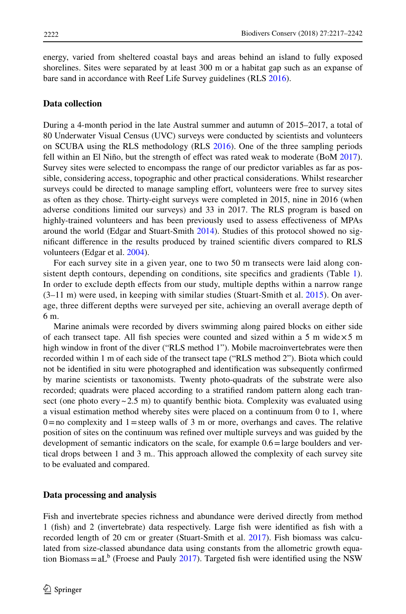energy, varied from sheltered coastal bays and areas behind an island to fully exposed shorelines. Sites were separated by at least 300 m or a habitat gap such as an expanse of bare sand in accordance with Reef Life Survey guidelines (RLS [2016\)](#page-24-4).

#### **Data collection**

During a 4-month period in the late Austral summer and autumn of 2015–2017, a total of 80 Underwater Visual Census (UVC) surveys were conducted by scientists and volunteers on SCUBA using the RLS methodology (RLS [2016\)](#page-24-4). One of the three sampling periods fell within an El Niño, but the strength of effect was rated weak to moderate (BoM [2017](#page-21-12)). Survey sites were selected to encompass the range of our predictor variables as far as possible, considering access, topographic and other practical considerations. Whilst researcher surveys could be directed to manage sampling effort, volunteers were free to survey sites as often as they chose. Thirty-eight surveys were completed in 2015, nine in 2016 (when adverse conditions limited our surveys) and 33 in 2017. The RLS program is based on highly-trained volunteers and has been previously used to assess efectiveness of MPAs around the world (Edgar and Stuart-Smith [2014](#page-22-7)). Studies of this protocol showed no signifcant diference in the results produced by trained scientifc divers compared to RLS volunteers (Edgar et al. [2004](#page-22-8)).

For each survey site in a given year, one to two 50 m transects were laid along consistent depth contours, depending on conditions, site specifcs and gradients (Table [1\)](#page-4-0). In order to exclude depth efects from our study, multiple depths within a narrow range  $(3-11 \text{ m})$  were used, in keeping with similar studies (Stuart-Smith et al. [2015\)](#page-24-5). On average, three diferent depths were surveyed per site, achieving an overall average depth of 6 m.

Marine animals were recorded by divers swimming along paired blocks on either side of each transect tape. All fish species were counted and sized within a 5 m wide $\times$ 5 m high window in front of the diver ("RLS method 1"). Mobile macroinvertebrates were then recorded within 1 m of each side of the transect tape ("RLS method 2"). Biota which could not be identifed in situ were photographed and identifcation was subsequently confrmed by marine scientists or taxonomists. Twenty photo-quadrats of the substrate were also recorded; quadrats were placed according to a stratifed random pattern along each transect (one photo every  $\sim$  2.5 m) to quantify benthic biota. Complexity was evaluated using a visual estimation method whereby sites were placed on a continuum from 0 to 1, where  $0=$ no complexity and  $1=$ steep walls of 3 m or more, overhangs and caves. The relative position of sites on the continuum was refned over multiple surveys and was guided by the development of semantic indicators on the scale, for example 0.6=large boulders and vertical drops between 1 and 3 m.. This approach allowed the complexity of each survey site to be evaluated and compared.

#### **Data processing and analysis**

Fish and invertebrate species richness and abundance were derived directly from method 1 (fsh) and 2 (invertebrate) data respectively. Large fsh were identifed as fsh with a recorded length of 20 cm or greater (Stuart-Smith et al. [2017](#page-24-6)). Fish biomass was calculated from size-classed abundance data using constants from the allometric growth equation Biomass =  $aL^b$  (Froese and Pauly [2017](#page-22-9)). Targeted fish were identified using the NSW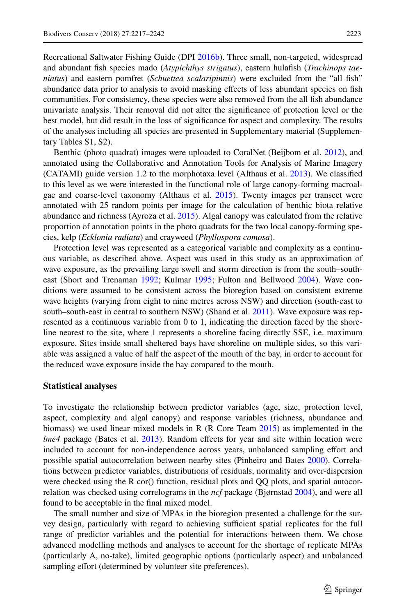Recreational Saltwater Fishing Guide (DPI [2016b\)](#page-21-8). Three small, non-targeted, widespread and abundant fsh species mado (*Atypichthys strigatus*), eastern hulafsh (*Trachinops taeniatus*) and eastern pomfret (*Schuettea scalaripinnis*) were excluded from the "all fsh" abundance data prior to analysis to avoid masking efects of less abundant species on fsh communities. For consistency, these species were also removed from the all fish abundance univariate analysis. Their removal did not alter the signifcance of protection level or the best model, but did result in the loss of signifcance for aspect and complexity. The results of the analyses including all species are presented in Supplementary material (Supplementary Tables S1, S2).

Benthic (photo quadrat) images were uploaded to CoralNet (Beijbom et al. [2012](#page-21-13)), and annotated using the Collaborative and Annotation Tools for Analysis of Marine Imagery (CATAMI) guide version 1.2 to the morphotaxa level (Althaus et al. [2013](#page-20-4)). We classifed to this level as we were interested in the functional role of large canopy-forming macroalgae and coarse-level taxonomy (Althaus et al. [2015](#page-20-5)). Twenty images per transect were annotated with 25 random points per image for the calculation of benthic biota relative abundance and richness (Ayroza et al. [2015](#page-20-6)). Algal canopy was calculated from the relative proportion of annotation points in the photo quadrats for the two local canopy-forming species, kelp (*Ecklonia radiata*) and crayweed (*Phyllospora comosa*).

Protection level was represented as a categorical variable and complexity as a continuous variable, as described above. Aspect was used in this study as an approximation of wave exposure, as the prevailing large swell and storm direction is from the south–southeast (Short and Trenaman [1992;](#page-24-7) Kulmar [1995;](#page-23-9) Fulton and Bellwood [2004\)](#page-22-10). Wave conditions were assumed to be consistent across the bioregion based on consistent extreme wave heights (varying from eight to nine metres across NSW) and direction (south-east to south–south-east in central to southern NSW) (Shand et al. [2011](#page-24-8)). Wave exposure was represented as a continuous variable from 0 to 1, indicating the direction faced by the shoreline nearest to the site, where 1 represents a shoreline facing directly SSE, i.e. maximum exposure. Sites inside small sheltered bays have shoreline on multiple sides, so this variable was assigned a value of half the aspect of the mouth of the bay, in order to account for the reduced wave exposure inside the bay compared to the mouth.

#### **Statistical analyses**

To investigate the relationship between predictor variables (age, size, protection level, aspect, complexity and algal canopy) and response variables (richness, abundance and biomass) we used linear mixed models in R (R Core Team [2015\)](#page-24-9) as implemented in the *lme4* package (Bates et al. [2013](#page-21-14)). Random effects for year and site within location were included to account for non-independence across years, unbalanced sampling efort and possible spatial autocorrelation between nearby sites (Pinheiro and Bates [2000\)](#page-24-10). Correlations between predictor variables, distributions of residuals, normality and over-dispersion were checked using the R cor() function, residual plots and QQ plots, and spatial autocorrelation was checked using correlograms in the *ncf* package (Bjørnstad [2004\)](#page-21-15), and were all found to be acceptable in the fnal mixed model.

The small number and size of MPAs in the bioregion presented a challenge for the survey design, particularly with regard to achieving sufficient spatial replicates for the full range of predictor variables and the potential for interactions between them. We chose advanced modelling methods and analyses to account for the shortage of replicate MPAs (particularly A, no-take), limited geographic options (particularly aspect) and unbalanced sampling effort (determined by volunteer site preferences).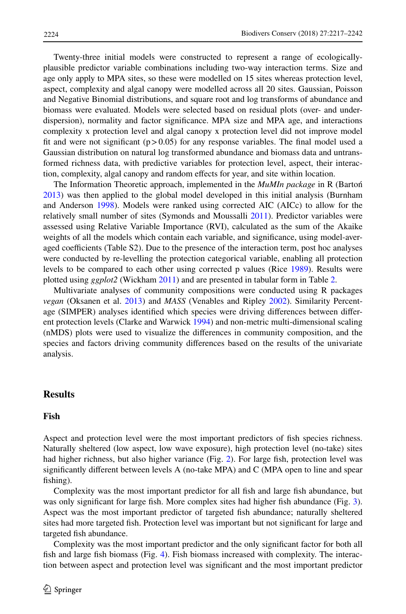Twenty-three initial models were constructed to represent a range of ecologicallyplausible predictor variable combinations including two-way interaction terms. Size and age only apply to MPA sites, so these were modelled on 15 sites whereas protection level, aspect, complexity and algal canopy were modelled across all 20 sites. Gaussian, Poisson and Negative Binomial distributions, and square root and log transforms of abundance and biomass were evaluated. Models were selected based on residual plots (over- and underdispersion), normality and factor signifcance. MPA size and MPA age, and interactions complexity x protection level and algal canopy x protection level did not improve model fit and were not significant ( $p > 0.05$ ) for any response variables. The final model used a Gaussian distribution on natural log transformed abundance and biomass data and untransformed richness data, with predictive variables for protection level, aspect, their interaction, complexity, algal canopy and random efects for year, and site within location.

The Information Theoretic approach, implemented in the *MuMIn package* in R (Bartoń [2013\)](#page-20-7) was then applied to the global model developed in this initial analysis (Burnham and Anderson [1998\)](#page-21-16). Models were ranked using corrected AIC (AICc) to allow for the relatively small number of sites (Symonds and Moussalli [2011](#page-24-11)). Predictor variables were assessed using Relative Variable Importance (RVI), calculated as the sum of the Akaike weights of all the models which contain each variable, and signifcance, using model-averaged coefficients (Table S2). Due to the presence of the interaction term, post hoc analyses were conducted by re-levelling the protection categorical variable, enabling all protection levels to be compared to each other using corrected p values (Rice [1989\)](#page-24-12). Results were plotted using *ggplot2* (Wickham [2011\)](#page-24-13) and are presented in tabular form in Table [2.](#page-8-0)

Multivariate analyses of community compositions were conducted using R packages *vegan* (Oksanen et al. [2013](#page-24-14)) and *MASS* (Venables and Ripley [2002\)](#page-24-15). Similarity Percentage (SIMPER) analyses identifed which species were driving diferences between diferent protection levels (Clarke and Warwick [1994\)](#page-21-17) and non-metric multi-dimensional scaling (nMDS) plots were used to visualize the diferences in community composition, and the species and factors driving community diferences based on the results of the univariate analysis.

# **Results**

#### **Fish**

Aspect and protection level were the most important predictors of fsh species richness. Naturally sheltered (low aspect, low wave exposure), high protection level (no-take) sites had higher richness, but also higher variance (Fig. [2\)](#page-9-0). For large fsh, protection level was signifcantly diferent between levels A (no-take MPA) and C (MPA open to line and spear fishing).

Complexity was the most important predictor for all fsh and large fsh abundance, but was only significant for large fish. More complex sites had higher fish abundance (Fig. [3](#page-10-0)). Aspect was the most important predictor of targeted fsh abundance; naturally sheltered sites had more targeted fsh. Protection level was important but not signifcant for large and targeted fsh abundance.

Complexity was the most important predictor and the only signifcant factor for both all fish and large fish biomass (Fig. [4](#page-11-0)). Fish biomass increased with complexity. The interaction between aspect and protection level was signifcant and the most important predictor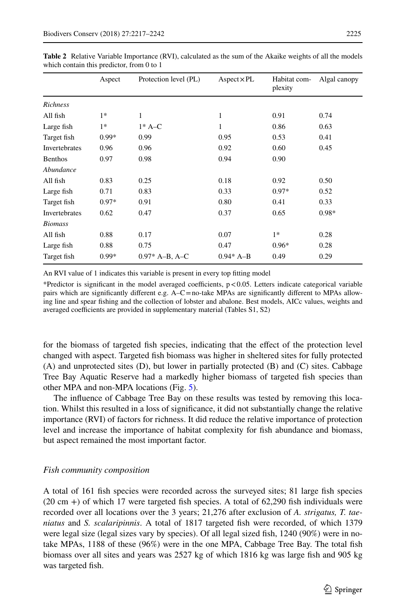|                      | Aspect  | Protection level (PL) | $Aspect \times PL$ | Habitat com-<br>plexity | Algal canopy |
|----------------------|---------|-----------------------|--------------------|-------------------------|--------------|
| Richness             |         |                       |                    |                         |              |
| All fish             | $1*$    | 1                     | 1                  | 0.91                    | 0.74         |
| Large fish           | $1*$    | $1*$ A–C              | 1                  | 0.86                    | 0.63         |
| Target fish          | $0.99*$ | 0.99                  | 0.95               | 0.53                    | 0.41         |
| <b>Invertebrates</b> | 0.96    | 0.96                  | 0.92               | 0.60                    | 0.45         |
| <b>Benthos</b>       | 0.97    | 0.98                  | 0.94               | 0.90                    |              |
| Abundance            |         |                       |                    |                         |              |
| All fish             | 0.83    | 0.25                  | 0.18               | 0.92                    | 0.50         |
| Large fish           | 0.71    | 0.83                  | 0.33               | $0.97*$                 | 0.52         |
| Target fish          | $0.97*$ | 0.91                  | 0.80               | 0.41                    | 0.33         |
| Invertebrates        | 0.62    | 0.47                  | 0.37               | 0.65                    | $0.98*$      |
| <b>Biomass</b>       |         |                       |                    |                         |              |
| All fish             | 0.88    | 0.17                  | 0.07               | $1*$                    | 0.28         |
| Large fish           | 0.88    | 0.75                  | 0.47               | $0.96*$                 | 0.28         |
| Target fish          | $0.99*$ | $0.97*$ A-B, A-C      | $0.94* A-B$        | 0.49                    | 0.29         |

<span id="page-8-0"></span>**Table 2** Relative Variable Importance (RVI), calculated as the sum of the Akaike weights of all the models which contain this predictor, from 0 to 1

An RVI value of 1 indicates this variable is present in every top ftting model

\*Predictor is significant in the model averaged coefficients,  $p < 0.05$ . Letters indicate categorical variable pairs which are significantly different e.g.  $A-C=no$ -take MPAs are significantly different to MPAs allowing line and spear fshing and the collection of lobster and abalone. Best models, AICc values, weights and averaged coefficients are provided in supplementary material (Tables S1, S2)

for the biomass of targeted fsh species, indicating that the efect of the protection level changed with aspect. Targeted fsh biomass was higher in sheltered sites for fully protected (A) and unprotected sites (D), but lower in partially protected (B) and (C) sites. Cabbage Tree Bay Aquatic Reserve had a markedly higher biomass of targeted fsh species than other MPA and non-MPA locations (Fig. [5\)](#page-12-0).

The infuence of Cabbage Tree Bay on these results was tested by removing this location. Whilst this resulted in a loss of signifcance, it did not substantially change the relative importance (RVI) of factors for richness. It did reduce the relative importance of protection level and increase the importance of habitat complexity for fsh abundance and biomass, but aspect remained the most important factor.

#### *Fish community composition*

A total of 161 fsh species were recorded across the surveyed sites; 81 large fsh species  $(20 \text{ cm} +)$  of which 17 were targeted fish species. A total of 62,290 fish individuals were recorded over all locations over the 3 years; 21,276 after exclusion of *A. strigatus, T. taeniatus* and *S. scalaripinnis*. A total of 1817 targeted fsh were recorded, of which 1379 were legal size (legal sizes vary by species). Of all legal sized fish, 1240 (90%) were in notake MPAs, 1188 of these (96%) were in the one MPA, Cabbage Tree Bay. The total fsh biomass over all sites and years was 2527 kg of which 1816 kg was large fsh and 905 kg was targeted fish.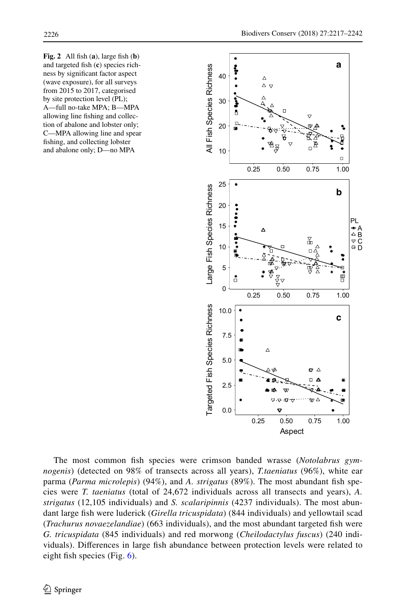<span id="page-9-0"></span>**Fig.** 2 All fish  $(a)$ , large fish  $(b)$ and targeted fsh (**c**) species richness by signifcant factor aspect (wave exposure), for all surveys from 2015 to 2017, categorised by site protection level (PL); A—full no-take MPA; B—MPA allowing line fshing and collection of abalone and lobster only; C—MPA allowing line and spear fshing, and collecting lobster and targeted fish (c) species rich-<br>ness by significant factor aspect<br>(wave exposure), for all surveys<br>from 2015 to 2017, categorised<br>by site protection level (PL);<br>A—full no-take MPA; B—MPA<br>allowing line fishing and coll



The most common fsh species were crimson banded wrasse (*Notolabrus gymnogenis*) (detected on 98% of transects across all years), *T.taeniatus* (96%), white ear parma (*Parma microlepis*) (94%), and *A. strigatus* (89%). The most abundant fsh species were *T. taeniatus* (total of 24,672 individuals across all transects and years), *A. strigatus* (12,105 individuals) and *S. scalaripinnis* (4237 individuals). The most abundant large fsh were luderick (*Girella tricuspidata*) (844 individuals) and yellowtail scad (*Trachurus novaezelandiae*) (663 individuals), and the most abundant targeted fsh were *G. tricuspidata* (845 individuals) and red morwong (*Cheilodactylus fuscus*) (240 individuals). Diferences in large fsh abundance between protection levels were related to eight fish species (Fig.  $6$ ).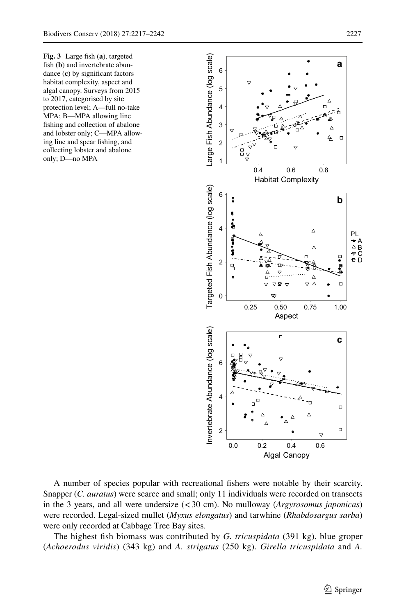<span id="page-10-0"></span>**Fig. 3** Large fsh (**a**), targeted fish (**b**) and invertebrate abundance (**c**) by signifcant factors habitat complexity, aspect and algal canopy. Surveys from 2015 to 2017, categorised by site protection level; A—full no-take MPA; B—MPA allowing line fshing and collection of abalone and lobster only; C—MPA allowing line and spear fshing, and collecting lobster and abalone Fig. 3 Large fish (a), targeted<br>
fish (b) and invertebrate abundance (c) by significant factors<br>
dance (c) by significant factors<br>
habitat complexity, aspect and<br>
algal canopy. Surveys from 2015<br>
to 2017, categorised by s



A number of species popular with recreational fshers were notable by their scarcity. Snapper (*C. auratus*) were scarce and small; only 11 individuals were recorded on transects in the 3 years, and all were undersize (<30 cm). No mulloway (*Argyrosomus japonicas*) were recorded. Legal-sized mullet (*Myxus elongatus*) and tarwhine (*Rhabdosargus sarba*) were only recorded at Cabbage Tree Bay sites.

The highest fsh biomass was contributed by *G. tricuspidata* (391 kg), blue groper (*Achoerodus viridis*) (343 kg) and *A. strigatus* (250 kg). *Girella tricuspidata* and *A.*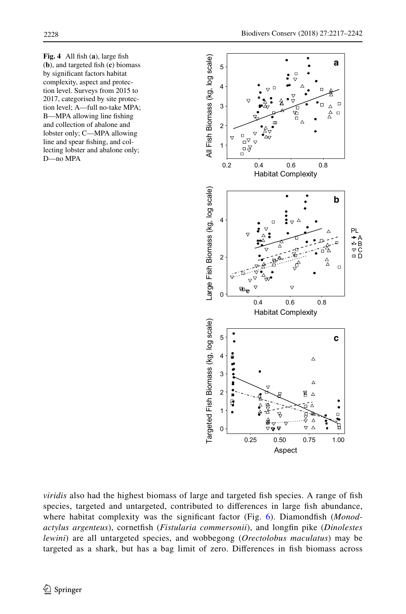<span id="page-11-0"></span>**Fig. 4** All fsh (**a**), large fsh (**b**), and targeted fsh (**c**) biomass by signifcant factors habitat complexity, aspect and protection level. Surveys from 2015 to 2017, categorised by site protection level; A—full no-take MPA; B—MPA allowing line fshing and collection of abalone and lobster only; C—MPA allowing line and spear fshing, and collecting lobster and abalone only; D—no MPA



*viridis* also had the highest biomass of large and targeted fish species. A range of fish species, targeted and untargeted, contributed to differences in large fish abundance, where habitat complexity was the significant factor (Fig. [6\)](#page-13-0). Diamondfish (*Monodactylus argenteus*), cornetfsh (*Fistularia commersonii*), and longfn pike (*Dinolestes lewini*) are all untargeted species, and wobbegong (*Orectolobus maculatus*) may be targeted as a shark, but has a bag limit of zero. Diferences in fsh biomass across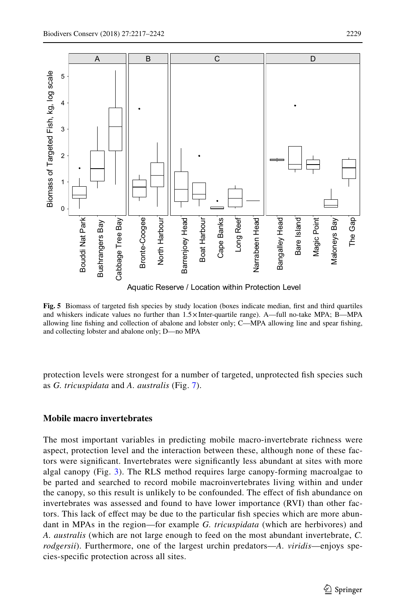

Aquatic Reserve / Location within Protection Level

<span id="page-12-0"></span>**Fig. 5** Biomass of targeted fsh species by study location (boxes indicate median, frst and third quartiles and whiskers indicate values no further than 1.5×Inter-quartile range). A—full no-take MPA; B—MPA allowing line fshing and collection of abalone and lobster only; C—MPA allowing line and spear fshing, and collecting lobster and abalone only; D—no MPA

protection levels were strongest for a number of targeted, unprotected fsh species such as *G. tricuspidata* and *A. australis* (Fig. [7\)](#page-14-0).

### **Mobile macro invertebrates**

The most important variables in predicting mobile macro-invertebrate richness were aspect, protection level and the interaction between these, although none of these factors were signifcant. Invertebrates were signifcantly less abundant at sites with more algal canopy (Fig. [3\)](#page-10-0). The RLS method requires large canopy-forming macroalgae to be parted and searched to record mobile macroinvertebrates living within and under the canopy, so this result is unlikely to be confounded. The efect of fsh abundance on invertebrates was assessed and found to have lower importance (RVI) than other factors. This lack of efect may be due to the particular fsh species which are more abundant in MPAs in the region—for example *G. tricuspidata* (which are herbivores) and *A. australis* (which are not large enough to feed on the most abundant invertebrate, *C. rodgersii*). Furthermore, one of the largest urchin predators—*A. viridis*—enjoys species-specifc protection across all sites.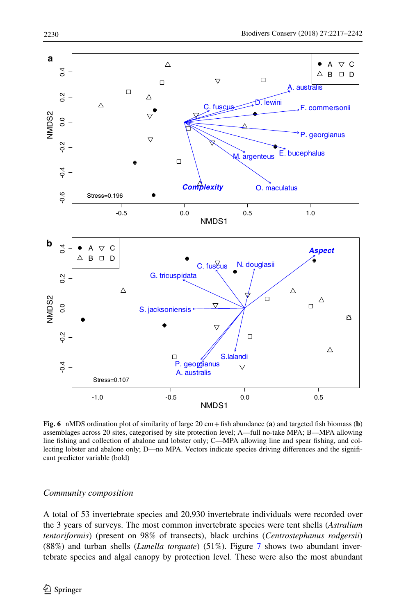

<span id="page-13-0"></span>**Fig.** 6 nMDS ordination plot of similarity of large 20 cm + fish abundance (a) and targeted fish biomass (b) assemblages across 20 sites, categorised by site protection level; A—full no-take MPA; B—MPA allowing line fshing and collection of abalone and lobster only; C—MPA allowing line and spear fshing, and collecting lobster and abalone only; D—no MPA. Vectors indicate species driving diferences and the signifcant predictor variable (bold)

#### *Community composition*

A total of 53 invertebrate species and 20,930 invertebrate individuals were recorded over the 3 years of surveys. The most common invertebrate species were tent shells (*Astralium tentoriformis*) (present on 98% of transects), black urchins (*Centrostephanus rodgersii*) (88%) and turban shells (*Lunella torquate*) (51%). Figure [7](#page-14-0) shows two abundant invertebrate species and algal canopy by protection level. These were also the most abundant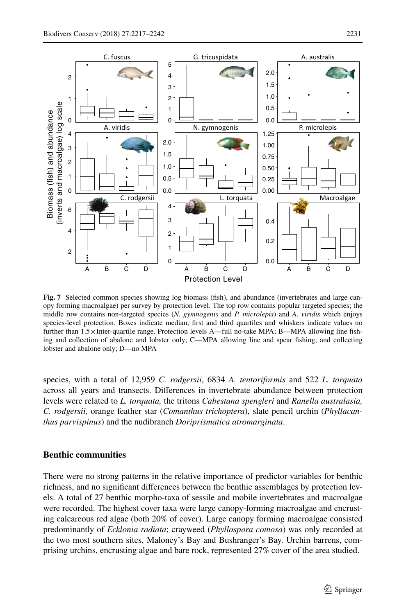

<span id="page-14-0"></span>**Fig. 7** Selected common species showing log biomass (fsh), and abundance (invertebrates and large canopy forming macroalgae) per survey by protection level. The top row contains popular targeted species; the middle row contains non-targeted species (*N. gymnogenis* and *P. microlepis*) and *A. viridis* which enjoys species-level protection. Boxes indicate median, frst and third quartiles and whiskers indicate values no further than 1.5×Inter-quartile range. Protection levels A—full no-take MPA; B—MPA allowing line fshing and collection of abalone and lobster only; C—MPA allowing line and spear fshing, and collecting lobster and abalone only; D—no MPA

species, with a total of 12,959 *C. rodgersii*, 6834 *A. tentoriformis* and 522 *L. torquata* across all years and transects. Diferences in invertebrate abundance between protection levels were related to *L. torquata,* the tritons *Cabestana spengleri* and *Ranella australasia, C. rodgersii,* orange feather star (*Comanthus trichoptera*), slate pencil urchin (*Phyllacanthus parvispinus*) and the nudibranch *Doriprismatica atromarginata*.

### **Benthic communities**

There were no strong patterns in the relative importance of predictor variables for benthic richness, and no signifcant diferences between the benthic assemblages by protection levels. A total of 27 benthic morpho-taxa of sessile and mobile invertebrates and macroalgae were recorded. The highest cover taxa were large canopy-forming macroalgae and encrusting calcareous red algae (both 20% of cover). Large canopy forming macroalgae consisted predominantly of *Ecklonia radiata*; crayweed (*Phyllospora comosa*) was only recorded at the two most southern sites, Maloney's Bay and Bushranger's Bay. Urchin barrens, comprising urchins, encrusting algae and bare rock, represented 27% cover of the area studied.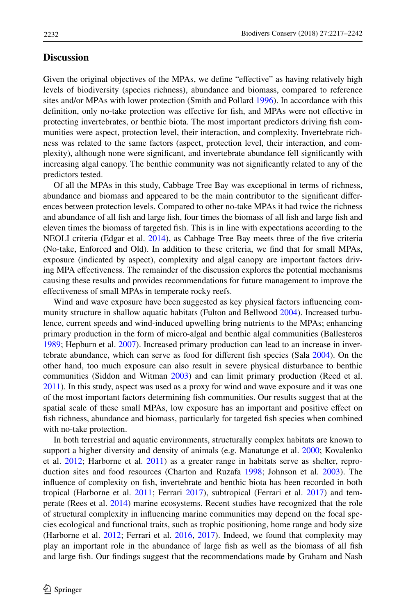### **Discussion**

Given the original objectives of the MPAs, we define "effective" as having relatively high levels of biodiversity (species richness), abundance and biomass, compared to reference sites and/or MPAs with lower protection (Smith and Pollard [1996](#page-24-2)). In accordance with this defnition, only no-take protection was efective for fsh, and MPAs were not efective in protecting invertebrates, or benthic biota. The most important predictors driving fsh communities were aspect, protection level, their interaction, and complexity. Invertebrate richness was related to the same factors (aspect, protection level, their interaction, and complexity), although none were signifcant, and invertebrate abundance fell signifcantly with increasing algal canopy. The benthic community was not signifcantly related to any of the predictors tested.

Of all the MPAs in this study, Cabbage Tree Bay was exceptional in terms of richness, abundance and biomass and appeared to be the main contributor to the signifcant diferences between protection levels. Compared to other no-take MPAs it had twice the richness and abundance of all fsh and large fsh, four times the biomass of all fsh and large fsh and eleven times the biomass of targeted fsh. This is in line with expectations according to the NEOLI criteria (Edgar et al. [2014](#page-22-0)), as Cabbage Tree Bay meets three of the fve criteria (No-take, Enforced and Old). In addition to these criteria, we fnd that for small MPAs, exposure (indicated by aspect), complexity and algal canopy are important factors driving MPA efectiveness. The remainder of the discussion explores the potential mechanisms causing these results and provides recommendations for future management to improve the efectiveness of small MPAs in temperate rocky reefs.

Wind and wave exposure have been suggested as key physical factors infuencing community structure in shallow aquatic habitats (Fulton and Bellwood [2004](#page-22-10)). Increased turbulence, current speeds and wind-induced upwelling bring nutrients to the MPAs; enhancing primary production in the form of micro-algal and benthic algal communities (Ballesteros [1989;](#page-20-8) Hepburn et al. [2007](#page-22-11)). Increased primary production can lead to an increase in invertebrate abundance, which can serve as food for diferent fsh species (Sala [2004](#page-24-16)). On the other hand, too much exposure can also result in severe physical disturbance to benthic communities (Siddon and Witman [2003](#page-24-17)) and can limit primary production (Reed et al. [2011\)](#page-24-18). In this study, aspect was used as a proxy for wind and wave exposure and it was one of the most important factors determining fsh communities. Our results suggest that at the spatial scale of these small MPAs, low exposure has an important and positive efect on fish richness, abundance and biomass, particularly for targeted fish species when combined with no-take protection.

In both terrestrial and aquatic environments, structurally complex habitats are known to support a higher diversity and density of animals (e.g. Manatunge et al. [2000](#page-23-10); Kovalenko et al. [2012](#page-23-11); Harborne et al. [2011\)](#page-22-12) as a greater range in habitats serve as shelter, reproduction sites and food resources (Charton and Ruzafa [1998;](#page-21-18) Johnson et al. [2003](#page-23-12)). The infuence of complexity on fsh, invertebrate and benthic biota has been recorded in both tropical (Harborne et al. [2011;](#page-22-12) Ferrari [2017](#page-22-13)), subtropical (Ferrari et al. [2017\)](#page-22-14) and temperate (Rees et al. [2014](#page-24-19)) marine ecosystems. Recent studies have recognized that the role of structural complexity in infuencing marine communities may depend on the focal species ecological and functional traits, such as trophic positioning, home range and body size (Harborne et al. [2012](#page-22-15); Ferrari et al. [2016](#page-22-16), [2017](#page-22-14)). Indeed, we found that complexity may play an important role in the abundance of large fsh as well as the biomass of all fsh and large fsh. Our fndings suggest that the recommendations made by Graham and Nash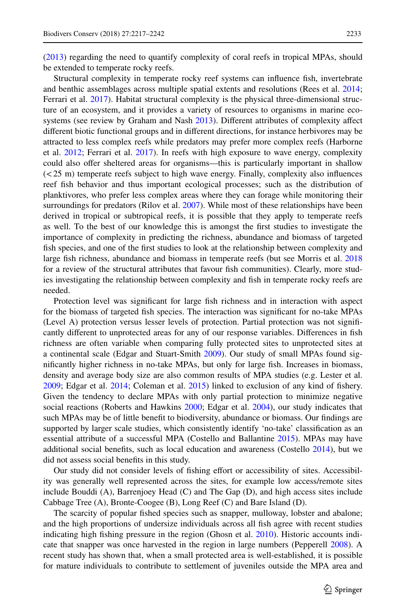([2013\)](#page-22-17) regarding the need to quantify complexity of coral reefs in tropical MPAs, should be extended to temperate rocky reefs.

Structural complexity in temperate rocky reef systems can infuence fsh, invertebrate and benthic assemblages across multiple spatial extents and resolutions (Rees et al. [2014;](#page-24-19) Ferrari et al. [2017\)](#page-22-14). Habitat structural complexity is the physical three-dimensional structure of an ecosystem, and it provides a variety of resources to organisms in marine eco-systems (see review by Graham and Nash [2013\)](#page-22-17). Different attributes of complexity affect diferent biotic functional groups and in diferent directions, for instance herbivores may be attracted to less complex reefs while predators may prefer more complex reefs (Harborne et al. [2012;](#page-22-15) Ferrari et al. [2017\)](#page-22-14). In reefs with high exposure to wave energy, complexity could also ofer sheltered areas for organisms—this is particularly important in shallow (<25 m) temperate reefs subject to high wave energy. Finally, complexity also infuences reef fsh behavior and thus important ecological processes; such as the distribution of planktivores, who prefer less complex areas where they can forage while monitoring their surroundings for predators (Rilov et al. [2007\)](#page-24-20). While most of these relationships have been derived in tropical or subtropical reefs, it is possible that they apply to temperate reefs as well. To the best of our knowledge this is amongst the frst studies to investigate the importance of complexity in predicting the richness, abundance and biomass of targeted fish species, and one of the first studies to look at the relationship between complexity and large fsh richness, abundance and biomass in temperate reefs (but see Morris et al. [2018](#page-23-13) for a review of the structural attributes that favour fsh communities). Clearly, more studies investigating the relationship between complexity and fsh in temperate rocky reefs are needed.

Protection level was signifcant for large fsh richness and in interaction with aspect for the biomass of targeted fsh species. The interaction was signifcant for no-take MPAs (Level A) protection versus lesser levels of protection. Partial protection was not signifcantly diferent to unprotected areas for any of our response variables. Diferences in fsh richness are often variable when comparing fully protected sites to unprotected sites at a continental scale (Edgar and Stuart-Smith [2009\)](#page-21-2). Our study of small MPAs found signifcantly higher richness in no-take MPAs, but only for large fsh. Increases in biomass, density and average body size are also common results of MPA studies (e.g. Lester et al. [2009;](#page-23-8) Edgar et al. [2014;](#page-22-0) Coleman et al. [2015](#page-21-19)) linked to exclusion of any kind of fshery. Given the tendency to declare MPAs with only partial protection to minimize negative social reactions (Roberts and Hawkins [2000;](#page-24-21) Edgar et al. [2004](#page-22-8)), our study indicates that such MPAs may be of little beneft to biodiversity, abundance or biomass. Our fndings are supported by larger scale studies, which consistently identify 'no-take' classifcation as an essential attribute of a successful MPA (Costello and Ballantine [2015\)](#page-21-4). MPAs may have additional social benefts, such as local education and awareness (Costello [2014\)](#page-21-20), but we did not assess social benefts in this study.

Our study did not consider levels of fshing efort or accessibility of sites. Accessibility was generally well represented across the sites, for example low access/remote sites include Bouddi (A), Barrenjoey Head (C) and The Gap (D), and high access sites include Cabbage Tree (A), Bronte-Coogee (B), Long Reef (C) and Bare Island (D).

The scarcity of popular fshed species such as snapper, mulloway, lobster and abalone; and the high proportions of undersize individuals across all fish agree with recent studies indicating high fshing pressure in the region (Ghosn et al. [2010](#page-22-5)). Historic accounts indicate that snapper was once harvested in the region in large numbers (Pepperell [2008\)](#page-24-22). A recent study has shown that, when a small protected area is well-established, it is possible for mature individuals to contribute to settlement of juveniles outside the MPA area and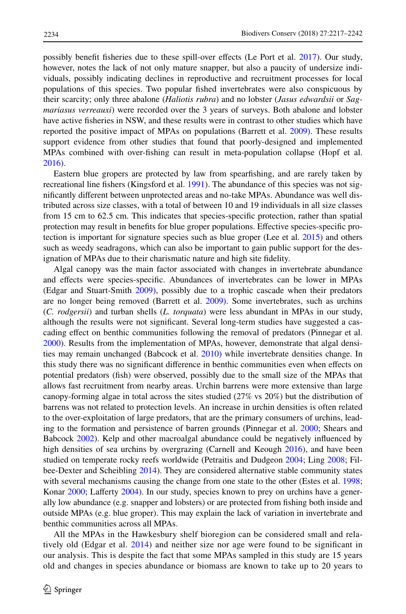possibly beneft fsheries due to these spill-over efects (Le Port et al. [2017\)](#page-23-14). Our study, however, notes the lack of not only mature snapper, but also a paucity of undersize individuals, possibly indicating declines in reproductive and recruitment processes for local populations of this species. Two popular fshed invertebrates were also conspicuous by their scarcity; only three abalone (*Haliotis rubra*) and no lobster (*Jasus edwardsii* or *Sagmariasus verreauxi*) were recorded over the 3 years of surveys. Both abalone and lobster have active fsheries in NSW, and these results were in contrast to other studies which have reported the positive impact of MPAs on populations (Barrett et al. [2009\)](#page-20-9). These results support evidence from other studies that found that poorly-designed and implemented MPAs combined with over-fshing can result in meta-population collapse (Hopf et al. [2016\)](#page-22-18).

Eastern blue gropers are protected by law from spearfshing, and are rarely taken by recreational line fshers (Kingsford et al. [1991\)](#page-23-15). The abundance of this species was not signifcantly diferent between unprotected areas and no-take MPAs. Abundance was well distributed across size classes, with a total of between 10 and 19 individuals in all size classes from 15 cm to 62.5 cm. This indicates that species-specifc protection, rather than spatial protection may result in benefts for blue groper populations. Efective species-specifc protection is important for signature species such as blue groper (Lee et al. [2015\)](#page-23-16) and others such as weedy seadragons, which can also be important to gain public support for the designation of MPAs due to their charismatic nature and high site fdelity.

Algal canopy was the main factor associated with changes in invertebrate abundance and efects were species-specifc. Abundances of invertebrates can be lower in MPAs (Edgar and Stuart-Smith [2009\)](#page-21-2), possibly due to a trophic cascade when their predators are no longer being removed (Barrett et al. [2009\)](#page-20-9). Some invertebrates, such as urchins (*C. rodgersii*) and turban shells (*L. torquata*) were less abundant in MPAs in our study, although the results were not signifcant. Several long-term studies have suggested a cascading efect on benthic communities following the removal of predators (Pinnegar et al. [2000\)](#page-24-23). Results from the implementation of MPAs, however, demonstrate that algal densities may remain unchanged (Babcock et al. [2010](#page-20-10)) while invertebrate densities change. In this study there was no signifcant diference in benthic communities even when efects on potential predators (fsh) were observed, possibly due to the small size of the MPAs that allows fast recruitment from nearby areas. Urchin barrens were more extensive than large canopy-forming algae in total across the sites studied (27% vs 20%) but the distribution of barrens was not related to protection levels. An increase in urchin densities is often related to the over-exploitation of large predators, that are the primary consumers of urchins, leading to the formation and persistence of barren grounds (Pinnegar et al. [2000;](#page-24-23) Shears and Babcock [2002](#page-24-24)). Kelp and other macroalgal abundance could be negatively infuenced by high densities of sea urchins by overgrazing (Carnell and Keough [2016\)](#page-21-21), and have been studied on temperate rocky reefs worldwide (Petraitis and Dudgeon [2004](#page-24-25); Ling [2008](#page-23-17); Filbee-Dexter and Scheibling [2014\)](#page-22-19). They are considered alternative stable community states with several mechanisms causing the change from one state to the other (Estes et al. [1998;](#page-22-20) Konar [2000](#page-23-18); Lafferty [2004](#page-23-19)). In our study, species known to prey on urchins have a generally low abundance (e.g. snapper and lobsters) or are protected from fshing both inside and outside MPAs (e.g. blue groper). This may explain the lack of variation in invertebrate and benthic communities across all MPAs.

All the MPAs in the Hawkesbury shelf bioregion can be considered small and relatively old (Edgar et al. [2014](#page-22-0)) and neither size nor age were found to be signifcant in our analysis. This is despite the fact that some MPAs sampled in this study are 15 years old and changes in species abundance or biomass are known to take up to 20 years to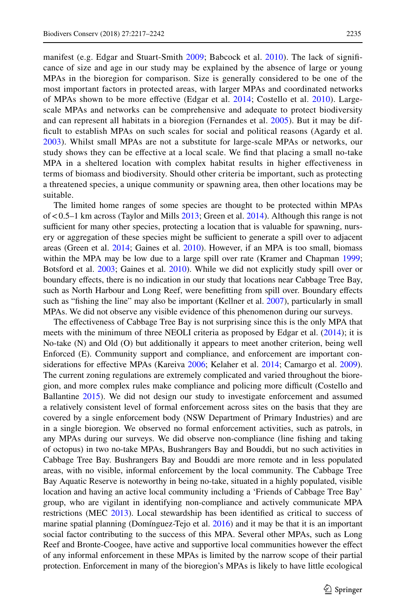manifest (e.g. Edgar and Stuart-Smith [2009;](#page-21-2) Babcock et al. [2010\)](#page-20-10). The lack of signifcance of size and age in our study may be explained by the absence of large or young MPAs in the bioregion for comparison. Size is generally considered to be one of the most important factors in protected areas, with larger MPAs and coordinated networks of MPAs shown to be more efective (Edgar et al. [2014](#page-22-0); Costello et al. [2010\)](#page-21-22). Largescale MPAs and networks can be comprehensive and adequate to protect biodiversity and can represent all habitats in a bioregion (Fernandes et al. [2005\)](#page-22-21). But it may be diffcult to establish MPAs on such scales for social and political reasons (Agardy et al. [2003](#page-20-11)). Whilst small MPAs are not a substitute for large-scale MPAs or networks, our study shows they can be efective at a local scale. We fnd that placing a small no-take MPA in a sheltered location with complex habitat results in higher efectiveness in terms of biomass and biodiversity. Should other criteria be important, such as protecting a threatened species, a unique community or spawning area, then other locations may be suitable.

The limited home ranges of some species are thought to be protected within MPAs  $of < 0.5-1$  km across (Taylor and Mills [2013;](#page-24-26) Green et al. [2014](#page-22-22)). Although this range is not sufficient for many other species, protecting a location that is valuable for spawning, nursery or aggregation of these species might be sufficient to generate a spill over to adjacent areas (Green et al. [2014;](#page-22-22) Gaines et al. [2010\)](#page-22-23). However, if an MPA is too small, biomass within the MPA may be low due to a large spill over rate (Kramer and Chapman [1999;](#page-23-20) Botsford et al. [2003;](#page-21-23) Gaines et al. [2010](#page-22-23)). While we did not explicitly study spill over or boundary efects, there is no indication in our study that locations near Cabbage Tree Bay, such as North Harbour and Long Reef, were beneftting from spill over. Boundary efects such as "fishing the line" may also be important (Kellner et al. [2007\)](#page-23-21), particularly in small MPAs. We did not observe any visible evidence of this phenomenon during our surveys.

The efectiveness of Cabbage Tree Bay is not surprising since this is the only MPA that meets with the minimum of three NEOLI criteria as proposed by Edgar et al. ([2014\)](#page-22-0); it is No-take (N) and Old (O) but additionally it appears to meet another criterion, being well Enforced (E). Community support and compliance, and enforcement are important considerations for efective MPAs (Kareiva [2006](#page-23-22); Kelaher et al. [2014](#page-23-23); Camargo et al. [2009](#page-21-24)). The current zoning regulations are extremely complicated and varied throughout the bioregion, and more complex rules make compliance and policing more difficult (Costello and Ballantine [2015\)](#page-21-4). We did not design our study to investigate enforcement and assumed a relatively consistent level of formal enforcement across sites on the basis that they are covered by a single enforcement body (NSW Department of Primary Industries) and are in a single bioregion. We observed no formal enforcement activities, such as patrols, in any MPAs during our surveys. We did observe non-compliance (line fshing and taking of octopus) in two no-take MPAs, Bushrangers Bay and Bouddi, but no such activities in Cabbage Tree Bay. Bushrangers Bay and Bouddi are more remote and in less populated areas, with no visible, informal enforcement by the local community. The Cabbage Tree Bay Aquatic Reserve is noteworthy in being no-take, situated in a highly populated, visible location and having an active local community including a 'Friends of Cabbage Tree Bay' group, who are vigilant in identifying non-compliance and actively communicate MPA restrictions (MEC [2013](#page-23-24)). Local stewardship has been identifed as critical to success of marine spatial planning (Domínguez-Tejo et al. [2016](#page-21-25)) and it may be that it is an important social factor contributing to the success of this MPA. Several other MPAs, such as Long Reef and Bronte-Coogee, have active and supportive local communities however the efect of any informal enforcement in these MPAs is limited by the narrow scope of their partial protection. Enforcement in many of the bioregion's MPAs is likely to have little ecological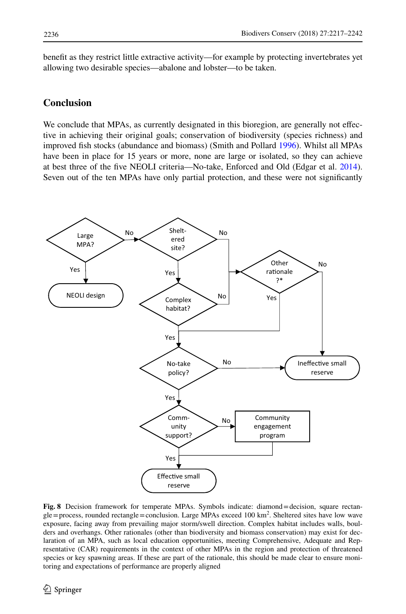beneft as they restrict little extractive activity—for example by protecting invertebrates yet allowing two desirable species—abalone and lobster—to be taken.

# **Conclusion**

We conclude that MPAs, as currently designated in this bioregion, are generally not effective in achieving their original goals; conservation of biodiversity (species richness) and improved fsh stocks (abundance and biomass) (Smith and Pollard [1996\)](#page-24-2). Whilst all MPAs have been in place for 15 years or more, none are large or isolated, so they can achieve at best three of the fve NEOLI criteria—No-take, Enforced and Old (Edgar et al. [2014](#page-22-0)). Seven out of the ten MPAs have only partial protection, and these were not significantly



<span id="page-19-0"></span>**Fig. 8** Decision framework for temperate MPAs. Symbols indicate: diamond=decision, square rectangle = process, rounded rectangle = conclusion. Large MPAs exceed 100  $\text{km}^2$ . Sheltered sites have low wave exposure, facing away from prevailing major storm/swell direction. Complex habitat includes walls, boulders and overhangs. Other rationales (other than biodiversity and biomass conservation) may exist for declaration of an MPA, such as local education opportunities, meeting Comprehensive, Adequate and Representative (CAR) requirements in the context of other MPAs in the region and protection of threatened species or key spawning areas. If these are part of the rationale, this should be made clear to ensure monitoring and expectations of performance are properly aligned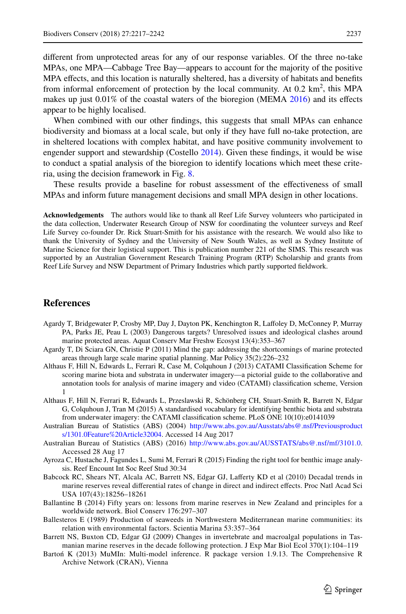diferent from unprotected areas for any of our response variables. Of the three no-take MPAs, one MPA—Cabbage Tree Bay—appears to account for the majority of the positive MPA effects, and this location is naturally sheltered, has a diversity of habitats and benefits from informal enforcement of protection by the local community. At  $0.2 \text{ km}^2$ , this MPA makes up just 0.01% of the coastal waters of the bioregion (MEMA [2016\)](#page-23-4) and its efects appear to be highly localised.

When combined with our other findings, this suggests that small MPAs can enhance biodiversity and biomass at a local scale, but only if they have full no-take protection, are in sheltered locations with complex habitat, and have positive community involvement to engender support and stewardship (Costello [2014\)](#page-21-20). Given these findings, it would be wise to conduct a spatial analysis of the bioregion to identify locations which meet these criteria, using the decision framework in Fig. [8](#page-19-0).

These results provide a baseline for robust assessment of the efectiveness of small MPAs and inform future management decisions and small MPA design in other locations.

**Acknowledgements** The authors would like to thank all Reef Life Survey volunteers who participated in the data collection, Underwater Research Group of NSW for coordinating the volunteer surveys and Reef Life Survey co-founder Dr. Rick Stuart-Smith for his assistance with the research. We would also like to thank the University of Sydney and the University of New South Wales, as well as Sydney Institute of Marine Science for their logistical support. This is publication number 221 of the SIMS. This research was supported by an Australian Government Research Training Program (RTP) Scholarship and grants from Reef Life Survey and NSW Department of Primary Industries which partly supported feldwork.

## **References**

- <span id="page-20-11"></span>Agardy T, Bridgewater P, Crosby MP, Day J, Dayton PK, Kenchington R, Lafoley D, McConney P, Murray PA, Parks JE, Peau L (2003) Dangerous targets? Unresolved issues and ideological clashes around marine protected areas. Aquat Conserv Mar Freshw Ecosyst 13(4):353–367
- <span id="page-20-0"></span>Agardy T, Di Sciara GN, Christie P (2011) Mind the gap: addressing the shortcomings of marine protected areas through large scale marine spatial planning. Mar Policy 35(2):226–232
- <span id="page-20-4"></span>Althaus F, Hill N, Edwards L, Ferrari R, Case M, Colquhoun J (2013) CATAMI Classifcation Scheme for scoring marine biota and substrata in underwater imagery—a pictorial guide to the collaborative and annotation tools for analysis of marine imagery and video (CATAMI) classifcation scheme, Version 1
- <span id="page-20-5"></span>Althaus F, Hill N, Ferrari R, Edwards L, Przeslawski R, Schönberg CH, Stuart-Smith R, Barrett N, Edgar G, Colquhoun J, Tran M (2015) A standardised vocabulary for identifying benthic biota and substrata from underwater imagery: the CATAMI classifcation scheme. PLoS ONE 10(10):e0141039
- <span id="page-20-1"></span>Australian Bureau of Statistics (ABS) (2004) [http://www.abs.gov.au/Ausstats/abs@.nsf/Previousproduct](http://www.abs.gov.au/Ausstats/abs%40.nsf/Previousproducts/1301.0Feature%20Article32004) [s/1301.0Feature%20Article32004.](http://www.abs.gov.au/Ausstats/abs%40.nsf/Previousproducts/1301.0Feature%20Article32004) Accessed 14 Aug 2017
- <span id="page-20-2"></span>Australian Bureau of Statistics (ABS) (2016) [http://www.abs.gov.au/AUSSTATS/abs@.nsf/mf/3101.0.](http://www.abs.gov.au/AUSSTATS/abs%40.nsf/mf/3101.0) Accessed 28 Aug 17
- <span id="page-20-6"></span>Ayroza C, Hustache J, Fagundes L, Sumi M, Ferrari R (2015) Finding the right tool for benthic image analysis. Reef Encount Int Soc Reef Stud 30:34
- <span id="page-20-10"></span>Babcock RC, Shears NT, Alcala AC, Barrett NS, Edgar GJ, Laferty KD et al (2010) Decadal trends in marine reserves reveal diferential rates of change in direct and indirect efects. Proc Natl Acad Sci USA 107(43):18256–18261
- <span id="page-20-3"></span>Ballantine B (2014) Fifty years on: lessons from marine reserves in New Zealand and principles for a worldwide network. Biol Conserv 176:297–307
- <span id="page-20-8"></span>Ballesteros E (1989) Production of seaweeds in Northwestern Mediterranean marine communities: its relation with environmental factors. Scientia Marina 53:357–364
- <span id="page-20-9"></span>Barrett NS, Buxton CD, Edgar GJ (2009) Changes in invertebrate and macroalgal populations in Tasmanian marine reserves in the decade following protection. J Exp Mar Biol Ecol 370(1):104–119
- <span id="page-20-7"></span>Bartoń K (2013) MuMIn: Multi-model inference. R package version 1.9.13. The Comprehensive R Archive Network (CRAN), Vienna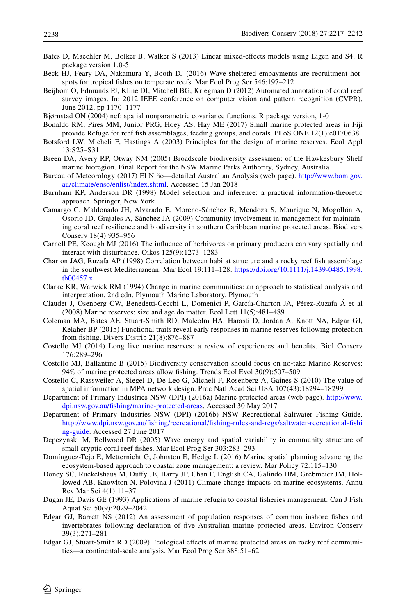- <span id="page-21-14"></span>Bates D, Maechler M, Bolker B, Walker S (2013) Linear mixed-efects models using Eigen and S4. R package version 1.0-5
- <span id="page-21-9"></span>Beck HJ, Feary DA, Nakamura Y, Booth DJ (2016) Wave-sheltered embayments are recruitment hotspots for tropical fshes on temperate reefs. Mar Ecol Prog Ser 546:197–212
- <span id="page-21-13"></span>Beijbom O, Edmunds PJ, Kline DI, Mitchell BG, Kriegman D (2012) Automated annotation of coral reef survey images. In: 2012 IEEE conference on computer vision and pattern recognition (CVPR), June 2012, pp 1170–1177
- <span id="page-21-15"></span>Bjørnstad ON (2004) ncf: spatial nonparametric covariance functions. R package version, 1-0
- <span id="page-21-3"></span>Bonaldo RM, Pires MM, Junior PRG, Hoey AS, Hay ME (2017) Small marine protected areas in Fiji provide Refuge for reef fsh assemblages, feeding groups, and corals. PLoS ONE 12(1):e0170638
- <span id="page-21-23"></span>Botsford LW, Micheli F, Hastings A (2003) Principles for the design of marine reserves. Ecol Appl 13:S25–S31
- <span id="page-21-6"></span>Breen DA, Avery RP, Otway NM (2005) Broadscale biodiversity assessment of the Hawkesbury Shelf marine bioregion. Final Report for the NSW Marine Parks Authority, Sydney, Australia
- <span id="page-21-12"></span>Bureau of Meteorology (2017) El Niño—detailed Australian Analysis (web page). [http://www.bom.gov.](http://www.bom.gov.au/climate/enso/enlist/index.shtml) [au/climate/enso/enlist/index.shtml](http://www.bom.gov.au/climate/enso/enlist/index.shtml). Accessed 15 Jan 2018
- <span id="page-21-16"></span>Burnham KP, Anderson DR (1998) Model selection and inference: a practical information-theoretic approach. Springer, New York
- <span id="page-21-24"></span>Camargo C, Maldonado JH, Alvarado E, Moreno-Sánchez R, Mendoza S, Manrique N, Mogollón A, Osorio JD, Grajales A, Sánchez JA (2009) Community involvement in management for maintaining coral reef resilience and biodiversity in southern Caribbean marine protected areas. Biodivers Conserv 18(4):935–956
- <span id="page-21-21"></span>Carnell PE, Keough MJ (2016) The infuence of herbivores on primary producers can vary spatially and interact with disturbance. Oikos 125(9):1273–1283
- <span id="page-21-18"></span>Charton JAG, Ruzafa AP (1998) Correlation between habitat structure and a rocky reef fsh assemblage in the southwest Mediterranean. Mar Ecol 19:111–128. [https://doi.org/10.1111/j.1439-0485.1998.](https://doi.org/10.1111/j.1439-0485.1998.tb00457.x) [tb00457.x](https://doi.org/10.1111/j.1439-0485.1998.tb00457.x)
- <span id="page-21-17"></span>Clarke KR, Warwick RM (1994) Change in marine communities: an approach to statistical analysis and interpretation, 2nd edn. Plymouth Marine Laboratory, Plymouth
- <span id="page-21-1"></span>Claudet J, Osenberg CW, Benedetti-Cecchi L, Domenici P, García-Charton JA, Pérez-Ruzafa Á et al (2008) Marine reserves: size and age do matter. Ecol Lett 11(5):481–489
- <span id="page-21-19"></span>Coleman MA, Bates AE, Stuart-Smith RD, Malcolm HA, Harasti D, Jordan A, Knott NA, Edgar GJ, Kelaher BP (2015) Functional traits reveal early responses in marine reserves following protection from fshing. Divers Distrib 21(8):876–887
- <span id="page-21-20"></span>Costello MJ (2014) Long live marine reserves: a review of experiences and benefts. Biol Conserv 176:289–296
- <span id="page-21-4"></span>Costello MJ, Ballantine B (2015) Biodiversity conservation should focus on no-take Marine Reserves: 94% of marine protected areas allow fshing. Trends Ecol Evol 30(9):507–509
- <span id="page-21-22"></span>Costello C, Rassweiler A, Siegel D, De Leo G, Micheli F, Rosenberg A, Gaines S (2010) The value of spatial information in MPA network design. Proc Natl Acad Sci USA 107(43):18294–18299
- <span id="page-21-7"></span>Department of Primary Industries NSW (DPI) (2016a) Marine protected areas (web page). [http://www.](http://www.dpi.nsw.gov.au/fishing/marine-protected-areas) [dpi.nsw.gov.au/fshing/marine-protected-areas.](http://www.dpi.nsw.gov.au/fishing/marine-protected-areas) Accessed 30 May 2017
- <span id="page-21-8"></span>Department of Primary Industries NSW (DPI) (2016b) NSW Recreational Saltwater Fishing Guide. [http://www.dpi.nsw.gov.au/fshing/recreational/fshing-rules-and-regs/saltwater-recreational-fshi](http://www.dpi.nsw.gov.au/fishing/recreational/fishing-rules-and-regs/saltwater-recreational-fishing-guide) [ng-guide.](http://www.dpi.nsw.gov.au/fishing/recreational/fishing-rules-and-regs/saltwater-recreational-fishing-guide) Accessed 27 June 2017
- <span id="page-21-11"></span>Depczynski M, Bellwood DR (2005) Wave energy and spatial variability in community structure of small cryptic coral reef fshes. Mar Ecol Prog Ser 303:283–293
- <span id="page-21-25"></span>Domínguez-Tejo E, Metternicht G, Johnston E, Hedge L (2016) Marine spatial planning advancing the ecosystem-based approach to coastal zone management: a review. Mar Policy 72:115–130
- <span id="page-21-0"></span>Doney SC, Ruckelshaus M, Dufy JE, Barry JP, Chan F, English CA, Galindo HM, Grebmeier JM, Hollowed AB, Knowlton N, Polovina J (2011) Climate change impacts on marine ecosystems. Annu Rev Mar Sci 4(1):11–37
- <span id="page-21-5"></span>Dugan JE, Davis GE (1993) Applications of marine refugia to coastal fsheries management. Can J Fish Aquat Sci 50(9):2029–2042
- <span id="page-21-10"></span>Edgar GJ, Barrett NS (2012) An assessment of population responses of common inshore fshes and invertebrates following declaration of fve Australian marine protected areas. Environ Conserv 39(3):271–281
- <span id="page-21-2"></span>Edgar GJ, Stuart-Smith RD (2009) Ecological efects of marine protected areas on rocky reef communities—a continental-scale analysis. Mar Ecol Prog Ser 388:51–62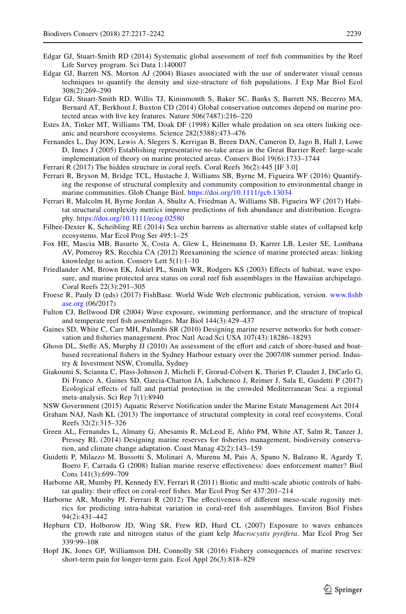- <span id="page-22-7"></span>Edgar GJ, Stuart-Smith RD (2014) Systematic global assessment of reef fsh communities by the Reef Life Survey program. Sci Data 1:140007
- <span id="page-22-8"></span>Edgar GJ, Barrett NS, Morton AJ (2004) Biases associated with the use of underwater visual census techniques to quantify the density and size-structure of fsh populations. J Exp Mar Biol Ecol 308(2):269–290
- <span id="page-22-0"></span>Edgar GJ, Stuart-Smith RD, Willis TJ, Kininmonth S, Baker SC, Banks S, Barrett NS, Becerro MA, Bernard AT, Berkhout J, Buxton CD (2014) Global conservation outcomes depend on marine protected areas with fve key features. Nature 506(7487):216–220
- <span id="page-22-20"></span>Estes JA, Tinker MT, Williams TM, Doak DF (1998) Killer whale predation on sea otters linking oceanic and nearshore ecosystems. Science 282(5388):473–476
- <span id="page-22-21"></span>Fernandes L, Day JON, Lewis A, Slegers S, Kerrigan B, Breen DAN, Cameron D, Jago B, Hall J, Lowe D, Innes J (2005) Establishing representative no-take areas in the Great Barrier Reef: large-scale implementation of theory on marine protected areas. Conserv Biol 19(6):1733–1744
- <span id="page-22-13"></span>Ferrari R (2017) The hidden structure in coral reefs. Coral Reefs 36(2):445 [IF 3.0]
- <span id="page-22-16"></span>Ferrari R, Bryson M, Bridge TCL, Hustache J, Williams SB, Byrne M, Figueira WF (2016) Quantifying the response of structural complexity and community composition to environmental change in marine communities. Glob Change Biol.<https://doi.org/10.1111/gcb.13034>
- <span id="page-22-14"></span>Ferrari R, Malcolm H, Byrne Jordan A, Shultz A, Friedman A, Williams SB, Figueira WF (2017) Habitat structural complexity metrics improve predictions of fsh abundance and distribution. Ecography. <https://doi.org/10.1111/ecog.02580>
- <span id="page-22-19"></span>Filbee-Dexter K, Scheibling RE (2014) Sea urchin barrens as alternative stable states of collapsed kelp ecosystems. Mar Ecol Prog Ser 495:1–25
- <span id="page-22-1"></span>Fox HE, Mascia MB, Basurto X, Costa A, Glew L, Heinemann D, Karrer LB, Lester SE, Lombana AV, Pomeroy RS, Recchia CA (2012) Reexamining the science of marine protected areas: linking knowledge to action. Conserv Lett 5(1):1–10
- <span id="page-22-2"></span>Friedlander AM, Brown EK, Jokiel PL, Smith WR, Rodgers KS (2003) Efects of habitat, wave exposure, and marine protected area status on coral reef fsh assemblages in the Hawaiian archipelago. Coral Reefs 22(3):291–305
- <span id="page-22-9"></span>Froese R, Pauly D (eds) (2017) FishBase. World Wide Web electronic publication, version. [www.fshb](http://www.fishbase.org) [ase.org](http://www.fishbase.org) (06/2017)
- <span id="page-22-10"></span>Fulton CJ, Bellwood DR (2004) Wave exposure, swimming performance, and the structure of tropical and temperate reef fsh assemblages. Mar Biol 144(3):429–437
- <span id="page-22-23"></span>Gaines SD, White C, Carr MH, Palumbi SR (2010) Designing marine reserve networks for both conservation and fsheries management. Proc Natl Acad Sci USA 107(43):18286–18293
- <span id="page-22-5"></span>Ghosn DL, Steffe AS, Murphy JJ (2010) An assessment of the effort and catch of shore-based and boatbased recreational fshers in the Sydney Harbour estuary over the 2007/08 summer period. Industry & Investment NSW, Cronulla, Sydney
- <span id="page-22-6"></span>Giakoumi S, Scianna C, Plass-Johnson J, Micheli F, Grorud-Colvert K, Thiriet P, Claudet J, DiCarlo G, Di Franco A, Gaines SD, Garcia-Charton JA, Lubchenco J, Reimer J, Sala E, Guidetti P (2017) Ecological efects of full and partial protection in the crowded Mediterranean Sea: a regional meta-analysis. Sci Rep 7(1):8940
- <span id="page-22-4"></span>NSW Government (2015) Aquatic Reserve Notifcation under the Marine Estate Management Act 2014
- <span id="page-22-17"></span>Graham NAJ, Nash KL (2013) The importance of structural complexity in coral reef ecosystems. Coral Reefs 32(2):315–326
- <span id="page-22-22"></span>Green AL, Fernandes L, Almany G, Abesamis R, McLeod E, Aliño PM, White AT, Salm R, Tanzer J, Pressey RL (2014) Designing marine reserves for fsheries management, biodiversity conservation, and climate change adaptation. Coast Manag 42(2):143–159
- <span id="page-22-3"></span>Guidetti P, Milazzo M, Bussotti S, Molinari A, Murenu M, Pais A, Spano N, Balzano R, Agardy T, Boero F, Carrada G (2008) Italian marine reserve efectiveness: does enforcement matter? Biol Cons 141(3):699–709
- <span id="page-22-12"></span>Harborne AR, Mumby PJ, Kennedy EV, Ferrari R (2011) Biotic and multi-scale abiotic controls of habitat quality: their effect on coral-reef fishes. Mar Ecol Prog Ser 437:201-214
- <span id="page-22-15"></span>Harborne AR, Mumby PJ, Ferrari R (2012) The efectiveness of diferent meso-scale rugosity metrics for predicting intra-habitat variation in coral-reef fsh assemblages. Environ Biol Fishes 94(2):431–442
- <span id="page-22-11"></span>Hepburn CD, Holborow JD, Wing SR, Frew RD, Hurd CL (2007) Exposure to waves enhances the growth rate and nitrogen status of the giant kelp *Macrocystis pyrifera*. Mar Ecol Prog Ser 339:99–108
- <span id="page-22-18"></span>Hopf JK, Jones GP, Williamson DH, Connolly SR (2016) Fishery consequences of marine reserves: short-term pain for longer-term gain. Ecol Appl 26(3):818–829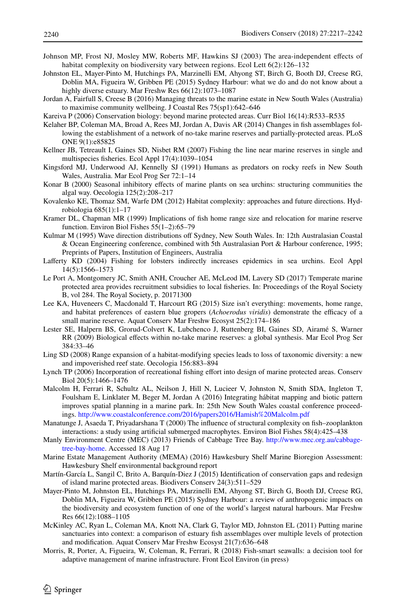- <span id="page-23-12"></span>Johnson MP, Frost NJ, Mosley MW, Roberts MF, Hawkins SJ (2003) The area-independent efects of habitat complexity on biodiversity vary between regions. Ecol Lett 6(2):126–132
- <span id="page-23-6"></span>Johnston EL, Mayer-Pinto M, Hutchings PA, Marzinelli EM, Ahyong ST, Birch G, Booth DJ, Creese RG, Doblin MA, Figueira W, Gribben PE (2015) Sydney Harbour: what we do and do not know about a highly diverse estuary. Mar Freshw Res 66(12):1073–1087
- <span id="page-23-5"></span>Jordan A, Fairfull S, Creese B (2016) Managing threats to the marine estate in New South Wales (Australia) to maximise community wellbeing. J Coastal Res 75(sp1):642–646
- <span id="page-23-22"></span>Kareiva P (2006) Conservation biology: beyond marine protected areas. Curr Biol 16(14):R533–R535
- <span id="page-23-23"></span>Kelaher BP, Coleman MA, Broad A, Rees MJ, Jordan A, Davis AR (2014) Changes in fish assemblages following the establishment of a network of no-take marine reserves and partially-protected areas. PLoS ONE 9(1):e85825
- <span id="page-23-21"></span>Kellner JB, Tetreault I, Gaines SD, Nisbet RM (2007) Fishing the line near marine reserves in single and multispecies fsheries. Ecol Appl 17(4):1039–1054
- <span id="page-23-15"></span>Kingsford MJ, Underwood AJ, Kennelly SJ (1991) Humans as predators on rocky reefs in New South Wales, Australia. Mar Ecol Prog Ser 72:1–14
- <span id="page-23-18"></span>Konar B (2000) Seasonal inhibitory efects of marine plants on sea urchins: structuring communities the algal way. Oecologia 125(2):208–217
- <span id="page-23-11"></span>Kovalenko KE, Thomaz SM, Warfe DM (2012) Habitat complexity: approaches and future directions. Hydrobiologia 685(1):1–17
- <span id="page-23-20"></span>Kramer DL, Chapman MR (1999) Implications of fsh home range size and relocation for marine reserve function. Environ Biol Fishes 55(1–2):65–79
- <span id="page-23-9"></span>Kulmar M (1995) Wave direction distributions of Sydney, New South Wales. In: 12th Australasian Coastal & Ocean Engineering conference, combined with 5th Australasian Port & Harbour conference, 1995; Preprints of Papers, Institution of Engineers, Australia
- <span id="page-23-19"></span>Laferty KD (2004) Fishing for lobsters indirectly increases epidemics in sea urchins. Ecol Appl 14(5):1566–1573
- <span id="page-23-14"></span>Le Port A, Montgomery JC, Smith ANH, Croucher AE, McLeod IM, Lavery SD (2017) Temperate marine protected area provides recruitment subsidies to local fsheries. In: Proceedings of the Royal Society B, vol 284. The Royal Society, p. 20171300
- <span id="page-23-16"></span>Lee KA, Huveneers C, Macdonald T, Harcourt RG (2015) Size isn't everything: movements, home range, and habitat preferences of eastern blue gropers (*Achoerodus viridis*) demonstrate the efficacy of a small marine reserve. Aquat Conserv Mar Freshw Ecosyst 25(2):174–186
- <span id="page-23-8"></span>Lester SE, Halpern BS, Grorud-Colvert K, Lubchenco J, Ruttenberg BI, Gaines SD, Airamé S, Warner RR (2009) Biological efects within no-take marine reserves: a global synthesis. Mar Ecol Prog Ser 384:33–46
- <span id="page-23-17"></span>Ling SD (2008) Range expansion of a habitat-modifying species leads to loss of taxonomic diversity: a new and impoverished reef state. Oecologia 156:883–894
- <span id="page-23-3"></span>Lynch TP (2006) Incorporation of recreational fishing effort into design of marine protected areas. Conserv Biol 20(5):1466–1476
- <span id="page-23-7"></span>Malcolm H, Ferrari R, Schultz AL, Neilson J, Hill N, Lucieer V, Johnston N, Smith SDA, Ingleton T, Foulsham E, Linklater M, Beger M, Jordan A (2016) Integrating hábitat mapping and biotic pattern improves spatial planning in a marine park. In: 25th New South Wales coastal conference proceedings. <http://www.coastalconference.com/2016/papers2016/Hamish%20Malcolm.pdf>
- <span id="page-23-10"></span>Manatunge J, Asaeda T, Priyadarshana T (2000) The infuence of structural complexity on fsh–zooplankton interactions: a study using artifcial submerged macrophytes. Environ Biol Fishes 58(4):425–438
- <span id="page-23-24"></span>Manly Environment Centre (MEC) (2013) Friends of Cabbage Tree Bay. [http://www.mec.org.au/cabbage](http://www.mec.org.au/cabbage-tree-bay-home)[tree-bay-home.](http://www.mec.org.au/cabbage-tree-bay-home) Accessed 18 Aug 17
- <span id="page-23-4"></span>Marine Estate Management Authority (MEMA) (2016) Hawkesbury Shelf Marine Bioregion Assessment: Hawkesbury Shelf environmental background report
- <span id="page-23-2"></span>Martín-García L, Sangil C, Brito A, Barquín-Diez J (2015) Identifcation of conservation gaps and redesign of island marine protected areas. Biodivers Conserv 24(3):511–529
- <span id="page-23-1"></span>Mayer-Pinto M, Johnston EL, Hutchings PA, Marzinelli EM, Ahyong ST, Birch G, Booth DJ, Creese RG, Doblin MA, Figueira W, Gribben PE (2015) Sydney Harbour: a review of anthropogenic impacts on the biodiversity and ecosystem function of one of the world's largest natural harbours. Mar Freshw Res 66(12):1088–1105
- <span id="page-23-0"></span>McKinley AC, Ryan L, Coleman MA, Knott NA, Clark G, Taylor MD, Johnston EL (2011) Putting marine sanctuaries into context: a comparison of estuary fsh assemblages over multiple levels of protection and modifcation. Aquat Conserv Mar Freshw Ecosyst 21(7):636–648
- <span id="page-23-13"></span>Morris, R, Porter, A, Figueira, W, Coleman, R, Ferrari, R (2018) Fish-smart seawalls: a decision tool for adaptive management of marine infrastructure. Front Ecol Environ (in press)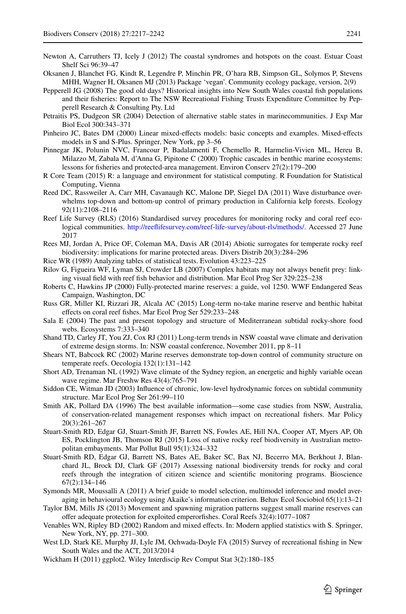- <span id="page-24-0"></span>Newton A, Carruthers TJ, Icely J (2012) The coastal syndromes and hotspots on the coast. Estuar Coast Shelf Sci 96:39–47
- <span id="page-24-14"></span>Oksanen J, Blanchet FG, Kindt R, Legendre P, Minchin PR, O'hara RB, Simpson GL, Solymos P, Stevens MHH, Wagner H, Oksanen MJ (2013) Package 'vegan'. Community ecology package, version, 2(9)
- <span id="page-24-22"></span>Pepperell JG (2008) The good old days? Historical insights into New South Wales coastal fsh populations and their fsheries: Report to The NSW Recreational Fishing Trusts Expenditure Committee by Pepperell Research & Consulting Pty. Ltd
- <span id="page-24-25"></span>Petraitis PS, Dudgeon SR (2004) Detection of alternative stable states in marinecommunities. J Exp Mar Biol Ecol 300:343–371
- <span id="page-24-10"></span>Pinheiro JC, Bates DM (2000) Linear mixed-efects models: basic concepts and examples. Mixed-efects models in S and S-Plus. Springer, New York, pp 3–56
- <span id="page-24-23"></span>Pinnegar JK, Polunin NVC, Francour P, Badalamenti F, Chemello R, Harmelin-Vivien ML, Hereu B, Milazzo M, Zabala M, d'Anna G, Pipitone C (2000) Trophic cascades in benthic marine ecosystems: lessons for fsheries and protected-area management. Environ Conserv 27(2):179–200
- <span id="page-24-9"></span>R Core Team (2015) R: a language and environment for statistical computing. R Foundation for Statistical Computing, Vienna
- <span id="page-24-18"></span>Reed DC, Rassweiler A, Carr MH, Cavanaugh KC, Malone DP, Siegel DA (2011) Wave disturbance overwhelms top-down and bottom-up control of primary production in California kelp forests. Ecology 92(11):2108–2116
- <span id="page-24-4"></span>Reef Life Survey (RLS) (2016) Standardised survey procedures for monitoring rocky and coral reef ecological communities. [http://reefifesurvey.com/reef-life-survey/about-rls/methods/](http://reeflifesurvey.com/reef-life-survey/about-rls/methods/). Accessed 27 June 2017
- <span id="page-24-19"></span>Rees MJ, Jordan A, Price OF, Coleman MA, Davis AR (2014) Abiotic surrogates for temperate rocky reef biodiversity: implications for marine protected areas. Divers Distrib 20(3):284–296
- <span id="page-24-12"></span>Rice WR (1989) Analyzing tables of statistical tests. Evolution 43:223–225
- <span id="page-24-20"></span>Rilov G, Figueira WF, Lyman SJ, Crowder LB (2007) Complex habitats may not always beneft prey: linking visual feld with reef fsh behavior and distribution. Mar Ecol Prog Ser 329:225–238
- <span id="page-24-21"></span>Roberts C, Hawkins JP (2000) Fully-protected marine reserves: a guide, vol 1250. WWF Endangered Seas Campaign, Washington, DC
- <span id="page-24-1"></span>Russ GR, Miller KI, Rizzari JR, Alcala AC (2015) Long-term no-take marine reserve and benthic habitat efects on coral reef fshes. Mar Ecol Prog Ser 529:233–248
- <span id="page-24-16"></span>Sala E (2004) The past and present topology and structure of Mediterranean subtidal rocky-shore food webs. Ecosystems 7:333–340
- <span id="page-24-8"></span>Shand TD, Carley JT, You ZJ, Cox RJ (2011) Long-term trends in NSW coastal wave climate and derivation of extreme design storms. In: NSW coastal conference, November 2011, pp 8–11
- <span id="page-24-24"></span>Shears NT, Babcock RC (2002) Marine reserves demonstrate top-down control of community structure on temperate reefs. Oecologia 132(1):131–142
- <span id="page-24-7"></span>Short AD, Trenaman NL (1992) Wave climate of the Sydney region, an energetic and highly variable ocean wave regime. Mar Freshw Res 43(4):765–791
- <span id="page-24-17"></span>Siddon CE, Witman JD (2003) Infuence of chronic, low-level hydrodynamic forces on subtidal community structure. Mar Ecol Prog Ser 261:99–110
- <span id="page-24-2"></span>Smith AK, Pollard DA (1996) The best available information—some case studies from NSW, Australia, of conservation-related management responses which impact on recreational fshers. Mar Policy 20(3):261–267
- <span id="page-24-5"></span>Stuart-Smith RD, Edgar GJ, Stuart-Smith JF, Barrett NS, Fowles AE, Hill NA, Cooper AT, Myers AP, Oh ES, Pocklington JB, Thomson RJ (2015) Loss of native rocky reef biodiversity in Australian metropolitan embayments. Mar Pollut Bull 95(1):324–332
- <span id="page-24-6"></span>Stuart-Smith RD, Edgar GJ, Barrett NS, Bates AE, Baker SC, Bax NJ, Becerro MA, Berkhout J, Blanchard JL, Brock DJ, Clark GF (2017) Assessing national biodiversity trends for rocky and coral reefs through the integration of citizen science and scientifc monitoring programs. Bioscience 67(2):134–146
- <span id="page-24-11"></span>Symonds MR, Moussalli A (2011) A brief guide to model selection, multimodel inference and model averaging in behavioural ecology using Akaike's information criterion. Behav Ecol Sociobiol 65(1):13–21
- <span id="page-24-26"></span>Taylor BM, Mills JS (2013) Movement and spawning migration patterns suggest small marine reserves can ofer adequate protection for exploited emperorfshes. Coral Reefs 32(4):1077–1087
- <span id="page-24-15"></span>Venables WN, Ripley BD (2002) Random and mixed efects. In: Modern applied statistics with S. Springer, New York, NY, pp. 271–300.
- <span id="page-24-3"></span>West LD, Stark KE, Murphy JJ, Lyle JM, Ochwada-Doyle FA (2015) Survey of recreational fshing in New South Wales and the ACT, 2013/2014
- <span id="page-24-13"></span>Wickham H (2011) ggplot2. Wiley Interdiscip Rev Comput Stat 3(2):180–185